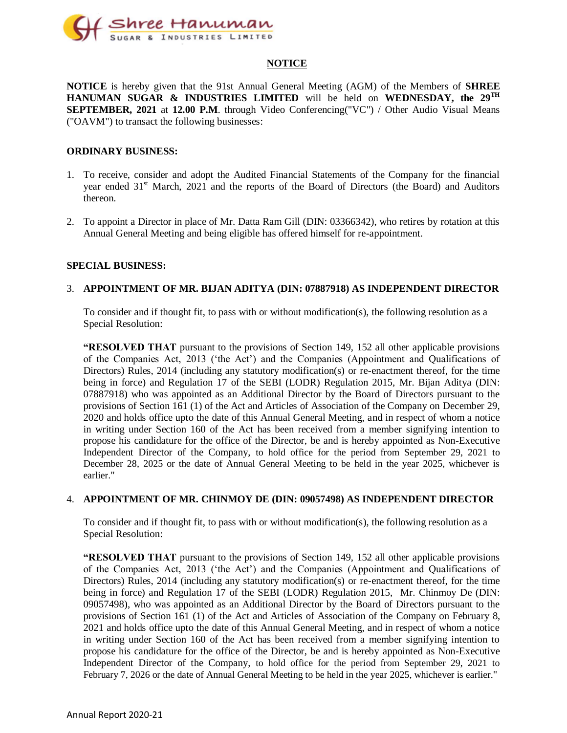

#### **NOTICE**

**NOTICE** is hereby given that the 91st Annual General Meeting (AGM) of the Members of **SHREE HANUMAN SUGAR & INDUSTRIES LIMITED** will be held on **WEDNESDAY, the 29 TH SEPTEMBER, 2021** at **12.00 P.M**. through Video Conferencing("VC") / Other Audio Visual Means ("OAVM") to transact the following businesses:

#### **ORDINARY BUSINESS:**

- 1. To receive, consider and adopt the Audited Financial Statements of the Company for the financial year ended 31<sup>st</sup> March, 2021 and the reports of the Board of Directors (the Board) and Auditors thereon.
- 2. To appoint a Director in place of Mr. Datta Ram Gill (DIN: 03366342), who retires by rotation at this Annual General Meeting and being eligible has offered himself for re-appointment.

#### **SPECIAL BUSINESS:**

#### 3. **APPOINTMENT OF MR. BIJAN ADITYA (DIN: 07887918) AS INDEPENDENT DIRECTOR**

To consider and if thought fit, to pass with or without modification(s), the following resolution as a Special Resolution:

**"RESOLVED THAT** pursuant to the provisions of Section 149, 152 all other applicable provisions of the Companies Act, 2013 ('the Act') and the Companies (Appointment and Qualifications of Directors) Rules, 2014 (including any statutory modification(s) or re-enactment thereof, for the time being in force) and Regulation 17 of the SEBI (LODR) Regulation 2015, Mr. Bijan Aditya (DIN: 07887918) who was appointed as an Additional Director by the Board of Directors pursuant to the provisions of Section 161 (1) of the Act and Articles of Association of the Company on December 29, 2020 and holds office upto the date of this Annual General Meeting, and in respect of whom a notice in writing under Section 160 of the Act has been received from a member signifying intention to propose his candidature for the office of the Director, be and is hereby appointed as Non-Executive Independent Director of the Company, to hold office for the period from September 29, 2021 to December 28, 2025 or the date of Annual General Meeting to be held in the year 2025, whichever is earlier."

#### 4. **APPOINTMENT OF MR. CHINMOY DE (DIN: 09057498) AS INDEPENDENT DIRECTOR**

To consider and if thought fit, to pass with or without modification(s), the following resolution as a Special Resolution:

**"RESOLVED THAT** pursuant to the provisions of Section 149, 152 all other applicable provisions of the Companies Act, 2013 ('the Act') and the Companies (Appointment and Qualifications of Directors) Rules, 2014 (including any statutory modification(s) or re-enactment thereof, for the time being in force) and Regulation 17 of the SEBI (LODR) Regulation 2015, Mr. Chinmoy De (DIN: 09057498), who was appointed as an Additional Director by the Board of Directors pursuant to the provisions of Section 161 (1) of the Act and Articles of Association of the Company on February 8, 2021 and holds office upto the date of this Annual General Meeting, and in respect of whom a notice in writing under Section 160 of the Act has been received from a member signifying intention to propose his candidature for the office of the Director, be and is hereby appointed as Non-Executive Independent Director of the Company, to hold office for the period from September 29, 2021 to February 7, 2026 or the date of Annual General Meeting to be held in the year 2025, whichever is earlier."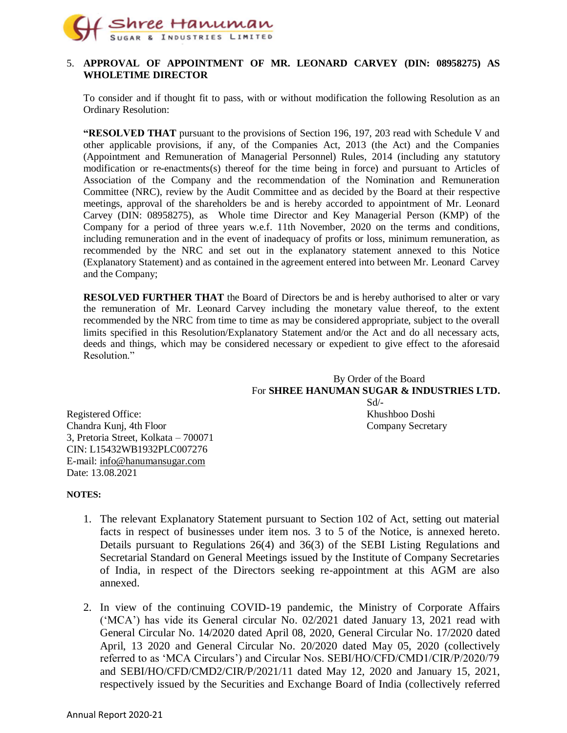

#### 5. **APPROVAL OF APPOINTMENT OF MR. LEONARD CARVEY (DIN: 08958275) AS WHOLETIME DIRECTOR**

To consider and if thought fit to pass, with or without modification the following Resolution as an Ordinary Resolution:

**"RESOLVED THAT** pursuant to the provisions of Section 196, 197, 203 read with Schedule V and other applicable provisions, if any, of the Companies Act, 2013 (the Act) and the Companies (Appointment and Remuneration of Managerial Personnel) Rules, 2014 (including any statutory modification or re-enactments(s) thereof for the time being in force) and pursuant to Articles of Association of the Company and the recommendation of the Nomination and Remuneration Committee (NRC), review by the Audit Committee and as decided by the Board at their respective meetings, approval of the shareholders be and is hereby accorded to appointment of Mr. Leonard Carvey (DIN: 08958275), as Whole time Director and Key Managerial Person (KMP) of the Company for a period of three years w.e.f. 11th November, 2020 on the terms and conditions, including remuneration and in the event of inadequacy of profits or loss, minimum remuneration, as recommended by the NRC and set out in the explanatory statement annexed to this Notice (Explanatory Statement) and as contained in the agreement entered into between Mr. Leonard Carvey and the Company;

**RESOLVED FURTHER THAT** the Board of Directors be and is hereby authorised to alter or vary the remuneration of Mr. Leonard Carvey including the monetary value thereof, to the extent recommended by the NRC from time to time as may be considered appropriate, subject to the overall limits specified in this Resolution/Explanatory Statement and/or the Act and do all necessary acts, deeds and things, which may be considered necessary or expedient to give effect to the aforesaid Resolution."

By Order of the Board For **SHREE HANUMAN SUGAR & INDUSTRIES LTD.** Sd/- Registered Office: Khushboo Doshi

Chandra Kunj, 4th Floor Company Secretary 3, Pretoria Street, Kolkata – 700071 CIN: L15432WB1932PLC007276 E-mail: [info@hanumansugar.com](mailto:info@hanumansugar.com) Date: 13.08.2021

#### **NOTES:**

- 1. The relevant Explanatory Statement pursuant to Section 102 of Act, setting out material facts in respect of businesses under item nos. 3 to 5 of the Notice, is annexed hereto. Details pursuant to Regulations 26(4) and 36(3) of the SEBI Listing Regulations and Secretarial Standard on General Meetings issued by the Institute of Company Secretaries of India, in respect of the Directors seeking re-appointment at this AGM are also annexed.
- 2. In view of the continuing COVID-19 pandemic, the Ministry of Corporate Affairs ('MCA') has vide its General circular No. 02/2021 dated January 13, 2021 read with General Circular No. 14/2020 dated April 08, 2020, General Circular No. 17/2020 dated April, 13 2020 and General Circular No. 20/2020 dated May 05, 2020 (collectively referred to as 'MCA Circulars') and Circular Nos. SEBI/HO/CFD/CMD1/CIR/P/2020/79 and SEBI/HO/CFD/CMD2/CIR/P/2021/11 dated May 12, 2020 and January 15, 2021, respectively issued by the Securities and Exchange Board of India (collectively referred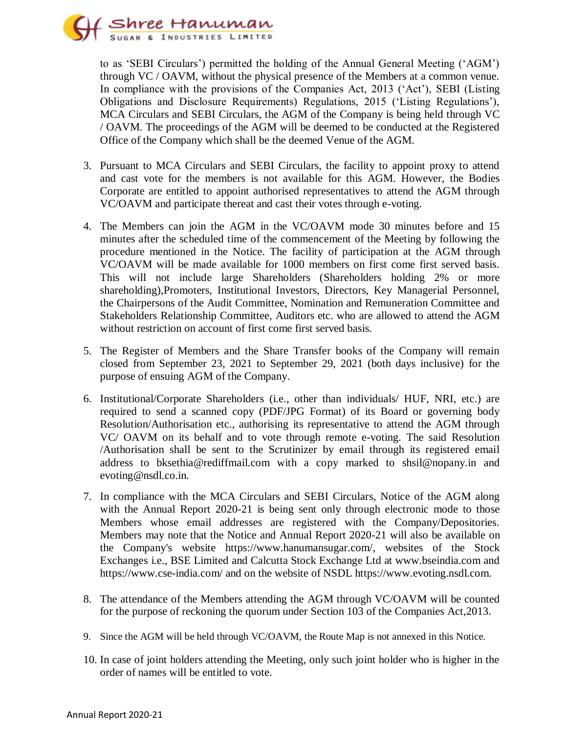

to as 'SEBI Circulars') permitted the holding of the Annual General Meeting ('AGM') through VC / OAVM, without the physical presence of the Members at a common venue. In compliance with the provisions of the Companies Act, 2013 ('Act'), SEBI (Listing Obligations and Disclosure Requirements) Regulations, 2015 ('Listing Regulations'), MCA Circulars and SEBI Circulars, the AGM of the Company is being held through VC / OAVM. The proceedings of the AGM will be deemed to be conducted at the Registered Office of the Company which shall be the deemed Venue of the AGM.

- 3. Pursuant to MCA Circulars and SEBI Circulars, the facility to appoint proxy to attend and cast vote for the members is not available for this AGM. However, the Bodies Corporate are entitled to appoint authorised representatives to attend the AGM through VC/OAVM and participate thereat and cast their votes through e-voting.
- 4. The Members can join the AGM in the VC/OAVM mode 30 minutes before and 15 minutes after the scheduled time of the commencement of the Meeting by following the procedure mentioned in the Notice. The facility of participation at the AGM through VC/OAVM will be made available for 1000 members on first come first served basis. This will not include large Shareholders (Shareholders holding 2% or more shareholding),Promoters, Institutional Investors, Directors, Key Managerial Personnel, the Chairpersons of the Audit Committee, Nomination and Remuneration Committee and Stakeholders Relationship Committee, Auditors etc. who are allowed to attend the AGM without restriction on account of first come first served basis.
- 5. The Register of Members and the Share Transfer books of the Company will remain closed from September 23, 2021 to September 29, 2021 (both days inclusive) for the purpose of ensuing AGM of the Company.
- 6. Institutional/Corporate Shareholders (i.e., other than individuals/ HUF, NRI, etc.) are required to send a scanned copy (PDF/JPG Format) of its Board or governing body Resolution/Authorisation etc., authorising its representative to attend the AGM through VC/ OAVM on its behalf and to vote through remote e-voting. The said Resolution /Authorisation shall be sent to the Scrutinizer by email through its registered email address to bksethia@rediffmail.com with a copy marked to shsil@nopany.in and evoting@nsdl.co.in.
- 7. In compliance with the MCA Circulars and SEBI Circulars, Notice of the AGM along with the Annual Report 2020-21 is being sent only through electronic mode to those Members whose email addresses are registered with the Company/Depositories. Members may note that the Notice and Annual Report 2020-21 will also be available on the Company's website https://www.hanumansugar.com/, websites of the Stock Exchanges i.e., BSE Limited and Calcutta Stock Exchange Ltd at www.bseindia.com and https://www.cse-india.com/ and on the website of NSDL https://www.evoting.nsdl.com.
- 8. The attendance of the Members attending the AGM through VC/OAVM will be counted for the purpose of reckoning the quorum under Section 103 of the Companies Act,2013.
- 9. Since the AGM will be held through VC/OAVM, the Route Map is not annexed in this Notice.
- 10. In case of joint holders attending the Meeting, only such joint holder who is higher in the order of names will be entitled to vote.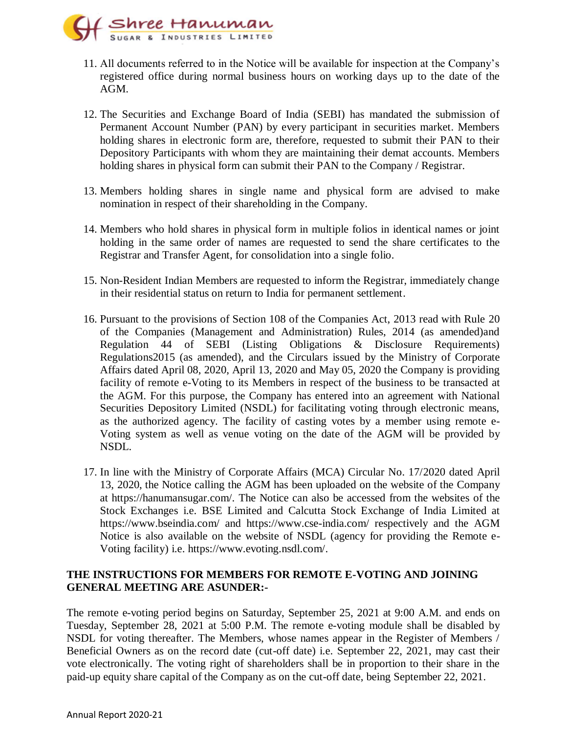

- 11. All documents referred to in the Notice will be available for inspection at the Company's registered office during normal business hours on working days up to the date of the AGM.
- 12. The Securities and Exchange Board of India (SEBI) has mandated the submission of Permanent Account Number (PAN) by every participant in securities market. Members holding shares in electronic form are, therefore, requested to submit their PAN to their Depository Participants with whom they are maintaining their demat accounts. Members holding shares in physical form can submit their PAN to the Company / Registrar.
- 13. Members holding shares in single name and physical form are advised to make nomination in respect of their shareholding in the Company.
- 14. Members who hold shares in physical form in multiple folios in identical names or joint holding in the same order of names are requested to send the share certificates to the Registrar and Transfer Agent, for consolidation into a single folio.
- 15. Non-Resident Indian Members are requested to inform the Registrar, immediately change in their residential status on return to India for permanent settlement.
- 16. Pursuant to the provisions of Section 108 of the Companies Act, 2013 read with Rule 20 of the Companies (Management and Administration) Rules, 2014 (as amended)and Regulation 44 of SEBI (Listing Obligations & Disclosure Requirements) Regulations2015 (as amended), and the Circulars issued by the Ministry of Corporate Affairs dated April 08, 2020, April 13, 2020 and May 05, 2020 the Company is providing facility of remote e-Voting to its Members in respect of the business to be transacted at the AGM. For this purpose, the Company has entered into an agreement with National Securities Depository Limited (NSDL) for facilitating voting through electronic means, as the authorized agency. The facility of casting votes by a member using remote e-Voting system as well as venue voting on the date of the AGM will be provided by NSDL.
- 17. In line with the Ministry of Corporate Affairs (MCA) Circular No. 17/2020 dated April 13, 2020, the Notice calling the AGM has been uploaded on the website of the Company at https://hanumansugar.com/. The Notice can also be accessed from the websites of the Stock Exchanges i.e. BSE Limited and Calcutta Stock Exchange of India Limited at https://www.bseindia.com/ and https://www.cse-india.com/ respectively and the AGM Notice is also available on the website of NSDL (agency for providing the Remote e-Voting facility) i.e. [https://www.evoting.nsdl.com/.](https://www.evoting.nsdl.com/)

## **THE INSTRUCTIONS FOR MEMBERS FOR REMOTE E-VOTING AND JOINING GENERAL MEETING ARE ASUNDER:-**

The remote e-voting period begins on Saturday, September 25, 2021 at 9:00 A.M. and ends on Tuesday, September 28, 2021 at 5:00 P.M. The remote e-voting module shall be disabled by NSDL for voting thereafter. The Members, whose names appear in the Register of Members / Beneficial Owners as on the record date (cut-off date) i.e. September 22, 2021, may cast their vote electronically. The voting right of shareholders shall be in proportion to their share in the paid-up equity share capital of the Company as on the cut-off date, being September 22, 2021.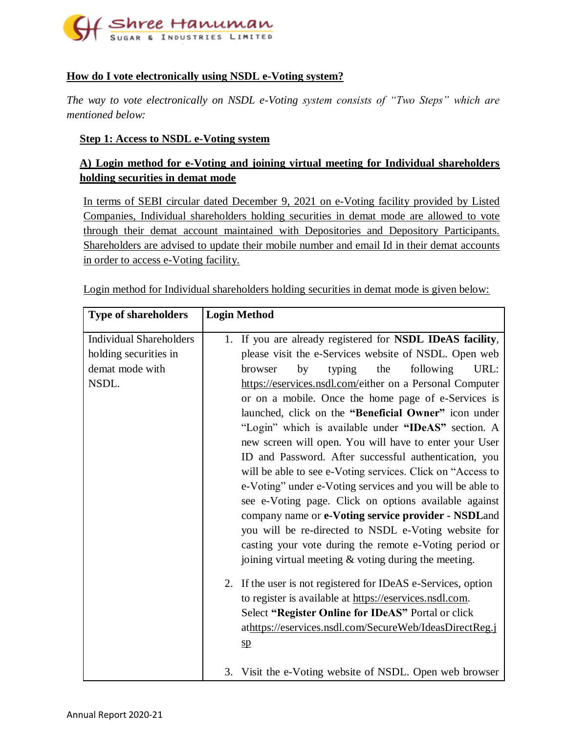

# **How do I vote electronically using NSDL e-Voting system?**

*The way to vote electronically on NSDL e-Voting system consists of "Two Steps" which are mentioned below:*

## **Step 1: Access to NSDL e-Voting system**

# **A) Login method for e-Voting and joining virtual meeting for Individual shareholders holding securities in demat mode**

In terms of SEBI circular dated December 9, 2021 on e-Voting facility provided by Listed Companies, Individual shareholders holding securities in demat mode are allowed to vote through their demat account maintained with Depositories and Depository Participants. Shareholders are advised to update their mobile number and email Id in their demat accounts in order to access e-Voting facility.

Login method for Individual shareholders holding securities in demat mode is given below:

| <b>Type of shareholders</b>                                                         | <b>Login Method</b>                                                                                                                                                                                                                                                                                                                                                                                                                                                                                                                                                                                                                                                                                                                                                                                                                                                                                                                                    |
|-------------------------------------------------------------------------------------|--------------------------------------------------------------------------------------------------------------------------------------------------------------------------------------------------------------------------------------------------------------------------------------------------------------------------------------------------------------------------------------------------------------------------------------------------------------------------------------------------------------------------------------------------------------------------------------------------------------------------------------------------------------------------------------------------------------------------------------------------------------------------------------------------------------------------------------------------------------------------------------------------------------------------------------------------------|
| <b>Individual Shareholders</b><br>holding securities in<br>demat mode with<br>NSDL. | 1. If you are already registered for NSDL IDeAS facility,<br>please visit the e-Services website of NSDL. Open web<br>following<br>by<br>typing<br>the<br>URL:<br>browser<br>https://eservices.nsdl.com/either on a Personal Computer<br>or on a mobile. Once the home page of e-Services is<br>launched, click on the "Beneficial Owner" icon under<br>"Login" which is available under "IDeAS" section. A<br>new screen will open. You will have to enter your User<br>ID and Password. After successful authentication, you<br>will be able to see e-Voting services. Click on "Access to<br>e-Voting" under e-Voting services and you will be able to<br>see e-Voting page. Click on options available against<br>company name or e-Voting service provider - NSDLand<br>you will be re-directed to NSDL e-Voting website for<br>casting your vote during the remote e-Voting period or<br>joining virtual meeting $\&$ voting during the meeting. |
|                                                                                     | 2. If the user is not registered for IDeAS e-Services, option<br>to register is available at https://eservices.nsdl.com.<br>Select "Register Online for IDeAS" Portal or click<br>athttps://eservices.nsdl.com/SecureWeb/IdeasDirectReg.j<br>$\mathbf{sp}$                                                                                                                                                                                                                                                                                                                                                                                                                                                                                                                                                                                                                                                                                             |
|                                                                                     | 3. Visit the e-Voting website of NSDL. Open web browser                                                                                                                                                                                                                                                                                                                                                                                                                                                                                                                                                                                                                                                                                                                                                                                                                                                                                                |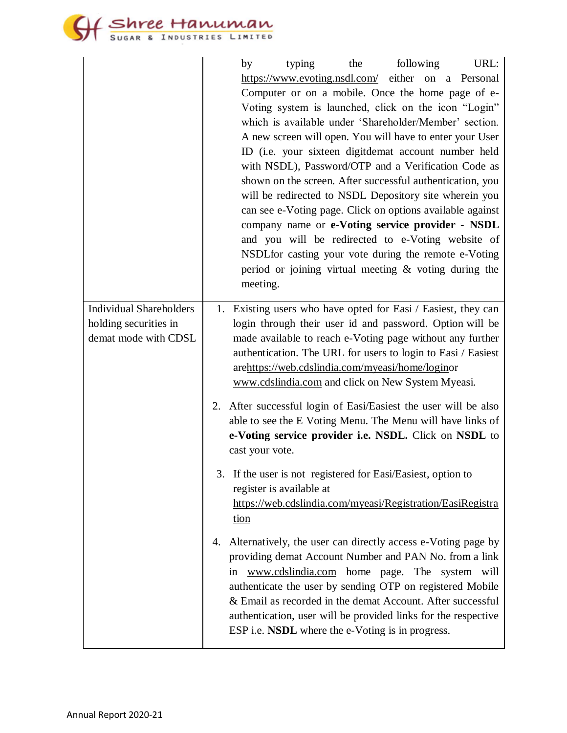Stree Hanuman

|                                | typing<br>the<br>following<br>URL:<br>by                                                                         |  |  |  |  |
|--------------------------------|------------------------------------------------------------------------------------------------------------------|--|--|--|--|
|                                | https://www.evoting.nsdl.com/ either on a Personal                                                               |  |  |  |  |
|                                | Computer or on a mobile. Once the home page of e-                                                                |  |  |  |  |
|                                | Voting system is launched, click on the icon "Login"                                                             |  |  |  |  |
|                                | which is available under 'Shareholder/Member' section.                                                           |  |  |  |  |
|                                | A new screen will open. You will have to enter your User                                                         |  |  |  |  |
|                                | ID (i.e. your sixteen digitdemat account number held                                                             |  |  |  |  |
|                                | with NSDL), Password/OTP and a Verification Code as                                                              |  |  |  |  |
|                                | shown on the screen. After successful authentication, you                                                        |  |  |  |  |
|                                | will be redirected to NSDL Depository site wherein you                                                           |  |  |  |  |
|                                | can see e-Voting page. Click on options available against<br>company name or e-Voting service provider - NSDL    |  |  |  |  |
|                                | and you will be redirected to e-Voting website of                                                                |  |  |  |  |
|                                | NSDL for casting your vote during the remote e-Voting                                                            |  |  |  |  |
|                                | period or joining virtual meeting $\&$ voting during the                                                         |  |  |  |  |
|                                | meeting.                                                                                                         |  |  |  |  |
|                                |                                                                                                                  |  |  |  |  |
| <b>Individual Shareholders</b> | 1. Existing users who have opted for Easi / Easiest, they can                                                    |  |  |  |  |
| holding securities in          | login through their user id and password. Option will be                                                         |  |  |  |  |
| demat mode with CDSL           | made available to reach e-Voting page without any further                                                        |  |  |  |  |
|                                | authentication. The URL for users to login to Easi / Easiest<br>arehttps://web.cdslindia.com/myeasi/home/loginor |  |  |  |  |
|                                | www.cdslindia.com and click on New System Myeasi.                                                                |  |  |  |  |
|                                |                                                                                                                  |  |  |  |  |
|                                | After successful login of Easi/Easiest the user will be also<br>2.                                               |  |  |  |  |
|                                | able to see the E Voting Menu. The Menu will have links of                                                       |  |  |  |  |
|                                | e-Voting service provider i.e. NSDL. Click on NSDL to                                                            |  |  |  |  |
|                                | cast your vote.                                                                                                  |  |  |  |  |
|                                | 3.<br>If the user is not registered for Easi/Easiest, option to                                                  |  |  |  |  |
|                                | register is available at                                                                                         |  |  |  |  |
|                                | https://web.cdslindia.com/myeasi/Registration/EasiRegistra                                                       |  |  |  |  |
|                                | tion                                                                                                             |  |  |  |  |
|                                | Alternatively, the user can directly access e-Voting page by<br>4.                                               |  |  |  |  |
|                                | providing demat Account Number and PAN No. from a link                                                           |  |  |  |  |
|                                | www.cdslindia.com<br>home page. The system will<br>in                                                            |  |  |  |  |
|                                | authenticate the user by sending OTP on registered Mobile                                                        |  |  |  |  |
|                                | & Email as recorded in the demat Account. After successful                                                       |  |  |  |  |
|                                | authentication, user will be provided links for the respective                                                   |  |  |  |  |
|                                | ESP i.e. NSDL where the e-Voting is in progress.                                                                 |  |  |  |  |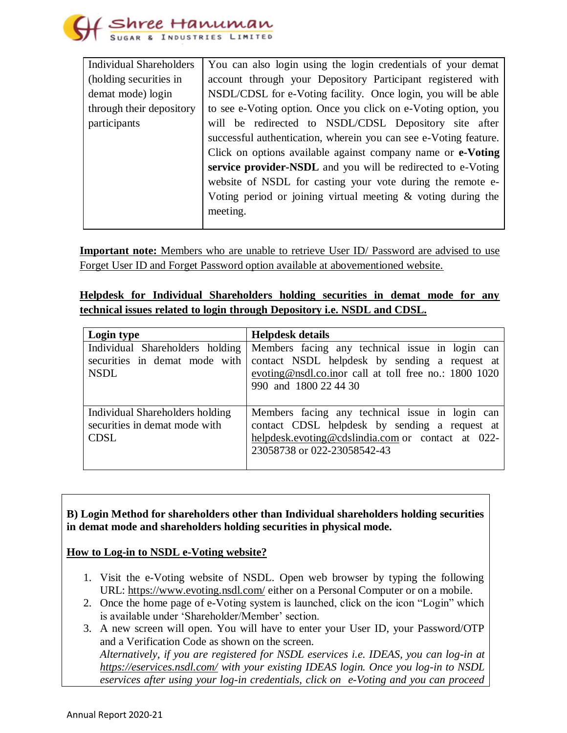

| <b>Individual Shareholders</b> | You can also login using the login credentials of your demat     |  |  |  |
|--------------------------------|------------------------------------------------------------------|--|--|--|
| (holding securities in         | account through your Depository Participant registered with      |  |  |  |
| demat mode) login              | NSDL/CDSL for e-Voting facility. Once login, you will be able    |  |  |  |
| through their depository       | to see e-Voting option. Once you click on e-Voting option, you   |  |  |  |
| participants                   | will be redirected to NSDL/CDSL Depository site after            |  |  |  |
|                                | successful authentication, wherein you can see e-Voting feature. |  |  |  |
|                                | Click on options available against company name or e-Voting      |  |  |  |
|                                | service provider-NSDL and you will be redirected to e-Voting     |  |  |  |
|                                | website of NSDL for casting your vote during the remote e-       |  |  |  |
|                                | Voting period or joining virtual meeting & voting during the     |  |  |  |
|                                | meeting.                                                         |  |  |  |
|                                |                                                                  |  |  |  |

**Important note:** Members who are unable to retrieve User ID/ Password are advised to use Forget User ID and Forget Password option available at abovementioned website.

# **Helpdesk for Individual Shareholders holding securities in demat mode for any technical issues related to login through Depository i.e. NSDL and CDSL.**

| Login type                                                                      | <b>Helpdesk details</b>                                                                                                                                                              |
|---------------------------------------------------------------------------------|--------------------------------------------------------------------------------------------------------------------------------------------------------------------------------------|
| Individual Shareholders holding<br>securities in demat mode with<br><b>NSDL</b> | Members facing any technical issue in login can<br>contact NSDL helpdesk by sending a request at<br>evoting@nsdl.co.inor call at toll free no.: 1800 1020<br>990 and 1800 22 44 30   |
| Individual Shareholders holding<br>securities in demat mode with<br><b>CDSL</b> | Members facing any technical issue in login can<br>contact CDSL helpdesk by sending a request at<br>helpdesk.evoting@cdslindia.com or contact at 022-<br>23058738 or 022-23058542-43 |

**B) Login Method for shareholders other than Individual shareholders holding securities in demat mode and shareholders holding securities in physical mode.**

## **How to Log-in to NSDL e-Voting website?**

- 1. Visit the e-Voting website of NSDL. Open web browser by typing the following URL:<https://www.evoting.nsdl.com/> either on a Personal Computer or on a mobile.
- 2. Once the home page of e-Voting system is launched, click on the icon "Login" which is available under 'Shareholder/Member' section.
- 3. A new screen will open. You will have to enter your User ID, your Password/OTP and a Verification Code as shown on the screen. *Alternatively, if you are registered for NSDL eservices i.e. IDEAS, you can log-in at <https://eservices.nsdl.com/> with your existing IDEAS login. Once you log-in to NSDL eservices after using your log-in credentials, click on e-Voting and you can proceed*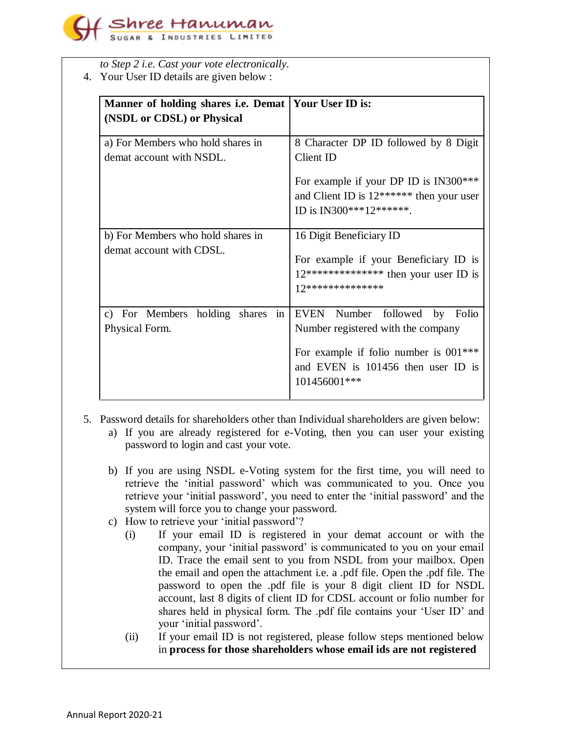

*to Step 2 i.e. Cast your vote electronically.*

4. Your User ID details are given below :

| Manner of holding shares i.e. Demat   Your User ID is:<br>(NSDL or CDSL) or Physical |                                                                                                                                                                      |  |  |
|--------------------------------------------------------------------------------------|----------------------------------------------------------------------------------------------------------------------------------------------------------------------|--|--|
| a) For Members who hold shares in<br>demat account with NSDL.                        | 8 Character DP ID followed by 8 Digit<br>Client ID                                                                                                                   |  |  |
|                                                                                      | For example if your DP ID is IN300***<br>and Client ID is $12******$ then your user<br>ID is IN300***12*******.                                                      |  |  |
| b) For Members who hold shares in<br>demat account with CDSL.                        | 16 Digit Beneficiary ID<br>For example if your Beneficiary ID is<br>$12*****************$ then your user ID is<br>17**************                                   |  |  |
| c) For Members holding shares<br>in<br>Physical Form.                                | EVEN Number followed by Folio<br>Number registered with the company<br>For example if folio number is $001***$<br>and EVEN is 101456 then user ID is<br>101456001*** |  |  |

- 5. Password details for shareholders other than Individual shareholders are given below:
	- a) If you are already registered for e-Voting, then you can user your existing password to login and cast your vote.
	- b) If you are using NSDL e-Voting system for the first time, you will need to retrieve the 'initial password' which was communicated to you. Once you retrieve your 'initial password', you need to enter the 'initial password' and the system will force you to change your password.
	- c) How to retrieve your 'initial password'?
		- (i) If your email ID is registered in your demat account or with the company, your 'initial password' is communicated to you on your email ID. Trace the email sent to you from NSDL from your mailbox. Open the email and open the attachment i.e. a .pdf file. Open the .pdf file. The password to open the .pdf file is your 8 digit client ID for NSDL account, last 8 digits of client ID for CDSL account or folio number for shares held in physical form. The .pdf file contains your 'User ID' and your 'initial password'.
		- (ii) If your email ID is not registered, please follow steps mentioned below in **process for those shareholders whose email ids are not registered**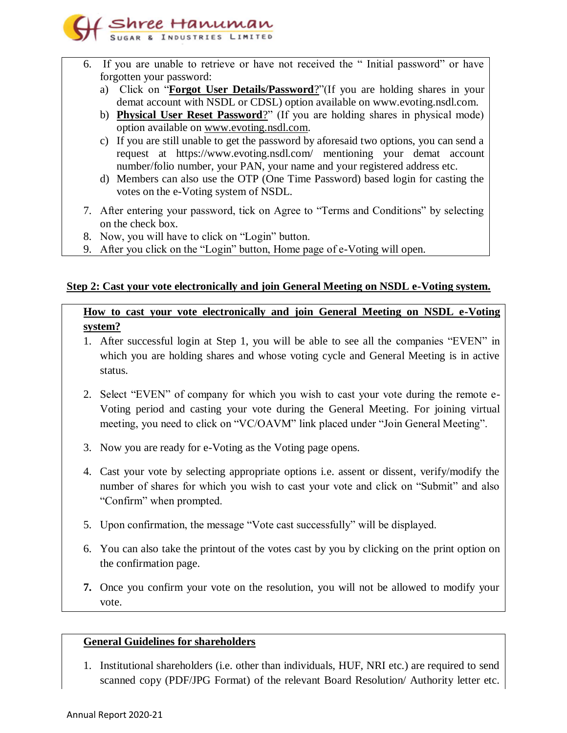

- 6. If you are unable to retrieve or have not received the " Initial password" or have forgotten your password:
	- a) Click on "**[Forgot User Details/Password](https://www.evoting.nsdl.com/eVotingWeb/commonhtmls/NewUser.jsp)**?"(If you are holding shares in your demat account with NSDL or CDSL) option available on www.evoting.nsdl.com.
	- b) **[Physical User Reset Password](https://www.evoting.nsdl.com/eVotingWeb/commonhtmls/PhysicalUser.jsp)**?" (If you are holding shares in physical mode) option available on [www.evoting.nsdl.com.](http://www.evoting.nsdl.com/)
	- c) If you are still unable to get the password by aforesaid two options, you can send a request at <https://www.evoting.nsdl.com/> mentioning your demat account number/folio number, your PAN, your name and your registered address etc.
	- d) Members can also use the OTP (One Time Password) based login for casting the votes on the e-Voting system of NSDL.
- 7. After entering your password, tick on Agree to "Terms and Conditions" by selecting on the check box.
- 8. Now, you will have to click on "Login" button.
- 9. After you click on the "Login" button, Home page of e-Voting will open.

## **Step 2: Cast your vote electronically and join General Meeting on NSDL e-Voting system.**

**How to cast your vote electronically and join General Meeting on NSDL e-Voting system?**

- 1. After successful login at Step 1, you will be able to see all the companies "EVEN" in which you are holding shares and whose voting cycle and General Meeting is in active status.
- 2. Select "EVEN" of company for which you wish to cast your vote during the remote e-Voting period and casting your vote during the General Meeting. For joining virtual meeting, you need to click on "VC/OAVM" link placed under "Join General Meeting".
- 3. Now you are ready for e-Voting as the Voting page opens.
- 4. Cast your vote by selecting appropriate options i.e. assent or dissent, verify/modify the number of shares for which you wish to cast your vote and click on "Submit" and also "Confirm" when prompted.
- 5. Upon confirmation, the message "Vote cast successfully" will be displayed.
- 6. You can also take the printout of the votes cast by you by clicking on the print option on the confirmation page.
- **7.** Once you confirm your vote on the resolution, you will not be allowed to modify your vote.

## **General Guidelines for shareholders**

1. Institutional shareholders (i.e. other than individuals, HUF, NRI etc.) are required to send scanned copy (PDF/JPG Format) of the relevant Board Resolution/ Authority letter etc.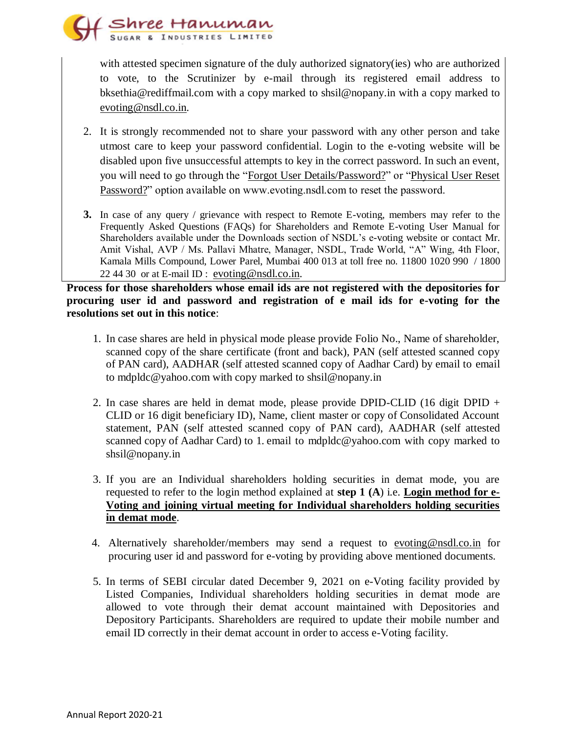

with attested specimen signature of the duly authorized signatory(ies) who are authorized to vote, to the Scrutinizer by e-mail through its registered email address to bksethia@rediffmail.com with a copy marked to shsil@nopany.in with a copy marked to [evoting@nsdl.co.in.](mailto:evoting@nsdl.co.in)

- 2. It is strongly recommended not to share your password with any other person and take utmost care to keep your password confidential. Login to the e-voting website will be disabled upon five unsuccessful attempts to key in the correct password. In such an event, you will need to go through the ["Forgot User Details/Password?"](https://www.evoting.nsdl.com/eVotingWeb/commonhtmls/NewUser.jsp) or ["Physical User Reset](https://www.evoting.nsdl.com/eVotingWeb/commonhtmls/PhysicalUser.jsp)  [Password?"](https://www.evoting.nsdl.com/eVotingWeb/commonhtmls/PhysicalUser.jsp) option available on www.evoting.nsdl.com to reset the password.
- **3.** In case of any query / grievance with respect to Remote E-voting, members may refer to the Frequently Asked Questions (FAQs) for Shareholders and Remote E-voting User Manual for Shareholders available under the Downloads section of NSDL's e-voting website or contact Mr. Amit Vishal, AVP / Ms. Pallavi Mhatre, Manager, NSDL, Trade World, "A" Wing, 4th Floor, Kamala Mills Compound, Lower Parel, Mumbai 400 013 at toll free no. 11800 1020 990 / 1800 22 44 30 or at E-mail ID : evoting @nsdl.co.in.

**Process for those shareholders whose email ids are not registered with the depositories for procuring user id and password and registration of e mail ids for e-voting for the resolutions set out in this notice**:

- 1. In case shares are held in physical mode please provide Folio No., Name of shareholder, scanned copy of the share certificate (front and back), PAN (self attested scanned copy of PAN card), AADHAR (self attested scanned copy of Aadhar Card) by email to email to mdpldc@yahoo.com with copy marked to shsil@nopany.in
- 2. In case shares are held in demat mode, please provide DPID-CLID (16 digit DPID + CLID or 16 digit beneficiary ID), Name, client master or copy of Consolidated Account statement, PAN (self attested scanned copy of PAN card), AADHAR (self attested scanned copy of Aadhar Card) to 1. email to mdpldc@yahoo.com with copy marked to shsil@nopany.in
- 3. If you are an Individual shareholders holding securities in demat mode, you are requested to refer to the login method explained at **step 1 (A**) i.e. **Login method for e-Voting and joining virtual meeting for Individual shareholders holding securities in demat mode**.
- 4. Alternatively shareholder/members may send a request to [evoting@nsdl.co.in](mailto:evoting@nsdl.co.in) for procuring user id and password for e-voting by providing above mentioned documents.
- 5. In terms of SEBI circular dated December 9, 2021 on e-Voting facility provided by Listed Companies, Individual shareholders holding securities in demat mode are allowed to vote through their demat account maintained with Depositories and Depository Participants. Shareholders are required to update their mobile number and email ID correctly in their demat account in order to access e-Voting facility.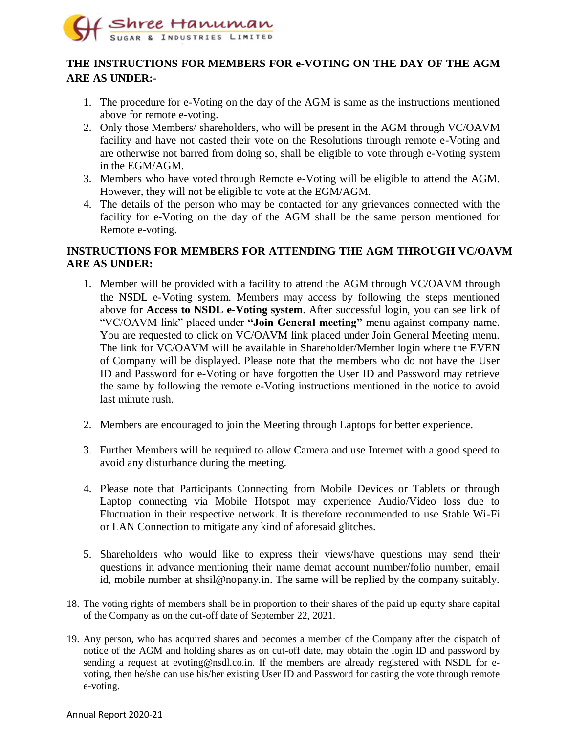

# **THE INSTRUCTIONS FOR MEMBERS FOR e-VOTING ON THE DAY OF THE AGM ARE AS UNDER:-**

- 1. The procedure for e-Voting on the day of the AGM is same as the instructions mentioned above for remote e-voting.
- 2. Only those Members/ shareholders, who will be present in the AGM through VC/OAVM facility and have not casted their vote on the Resolutions through remote e-Voting and are otherwise not barred from doing so, shall be eligible to vote through e-Voting system in the EGM/AGM.
- 3. Members who have voted through Remote e-Voting will be eligible to attend the AGM. However, they will not be eligible to vote at the EGM/AGM.
- 4. The details of the person who may be contacted for any grievances connected with the facility for e-Voting on the day of the AGM shall be the same person mentioned for Remote e-voting.

## **INSTRUCTIONS FOR MEMBERS FOR ATTENDING THE AGM THROUGH VC/OAVM ARE AS UNDER:**

- 1. Member will be provided with a facility to attend the AGM through VC/OAVM through the NSDL e-Voting system. Members may access by following the steps mentioned above for **Access to NSDL e-Voting system**. After successful login, you can see link of "VC/OAVM link" placed under **"Join General meeting"** menu against company name. You are requested to click on VC/OAVM link placed under Join General Meeting menu. The link for VC/OAVM will be available in Shareholder/Member login where the EVEN of Company will be displayed. Please note that the members who do not have the User ID and Password for e-Voting or have forgotten the User ID and Password may retrieve the same by following the remote e-Voting instructions mentioned in the notice to avoid last minute rush.
- 2. Members are encouraged to join the Meeting through Laptops for better experience.
- 3. Further Members will be required to allow Camera and use Internet with a good speed to avoid any disturbance during the meeting.
- 4. Please note that Participants Connecting from Mobile Devices or Tablets or through Laptop connecting via Mobile Hotspot may experience Audio/Video loss due to Fluctuation in their respective network. It is therefore recommended to use Stable Wi-Fi or LAN Connection to mitigate any kind of aforesaid glitches.
- 5. Shareholders who would like to express their views/have questions may send their questions in advance mentioning their name demat account number/folio number, email id, mobile number at shsil@nopany.in. The same will be replied by the company suitably.
- 18. The voting rights of members shall be in proportion to their shares of the paid up equity share capital of the Company as on the cut-off date of September 22, 2021.
- 19. Any person, who has acquired shares and becomes a member of the Company after the dispatch of notice of the AGM and holding shares as on cut-off date, may obtain the login ID and password by sending a request at [evoting@nsdl.co.in.](mailto:evoting@nsdl.co.in) If the members are already registered with NSDL for evoting, then he/she can use his/her existing User ID and Password for casting the vote through remote e-voting.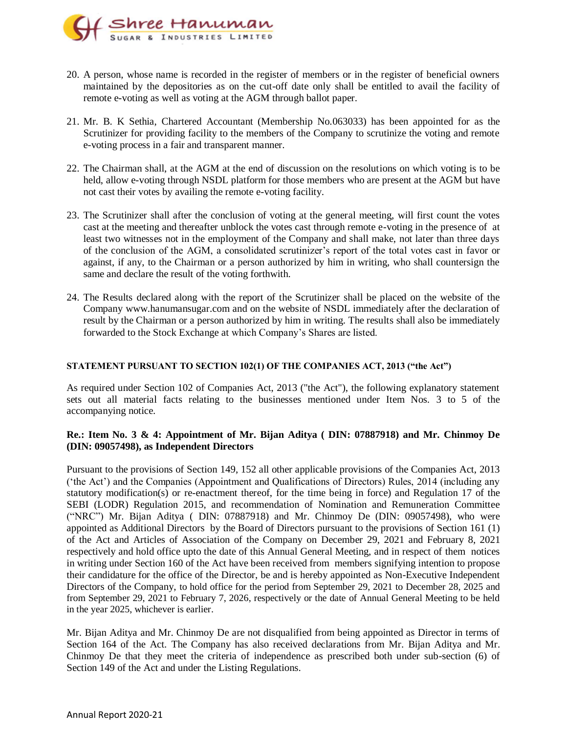

- 20. A person, whose name is recorded in the register of members or in the register of beneficial owners maintained by the depositories as on the cut-off date only shall be entitled to avail the facility of remote e-voting as well as voting at the AGM through ballot paper.
- 21. Mr. B. K Sethia, Chartered Accountant (Membership No.063033) has been appointed for as the Scrutinizer for providing facility to the members of the Company to scrutinize the voting and remote e-voting process in a fair and transparent manner.
- 22. The Chairman shall, at the AGM at the end of discussion on the resolutions on which voting is to be held, allow e-voting through NSDL platform for those members who are present at the AGM but have not cast their votes by availing the remote e-voting facility.
- 23. The Scrutinizer shall after the conclusion of voting at the general meeting, will first count the votes cast at the meeting and thereafter unblock the votes cast through remote e-voting in the presence of at least two witnesses not in the employment of the Company and shall make, not later than three days of the conclusion of the AGM, a consolidated scrutinizer's report of the total votes cast in favor or against, if any, to the Chairman or a person authorized by him in writing, who shall countersign the same and declare the result of the voting forthwith.
- 24. The Results declared along with the report of the Scrutinizer shall be placed on the website of the Company www.hanumansugar.com and on the website of NSDL immediately after the declaration of result by the Chairman or a person authorized by him in writing. The results shall also be immediately forwarded to the Stock Exchange at which Company's Shares are listed.

#### **STATEMENT PURSUANT TO SECTION 102(1) OF THE COMPANIES ACT, 2013 ("the Act")**

As required under Section 102 of Companies Act, 2013 ("the Act"), the following explanatory statement sets out all material facts relating to the businesses mentioned under Item Nos. 3 to 5 of the accompanying notice.

#### **Re.: Item No. 3 & 4: Appointment of Mr. Bijan Aditya ( DIN: 07887918) and Mr. Chinmoy De (DIN: 09057498), as Independent Directors**

Pursuant to the provisions of Section 149, 152 all other applicable provisions of the Companies Act, 2013 ('the Act') and the Companies (Appointment and Qualifications of Directors) Rules, 2014 (including any statutory modification(s) or re-enactment thereof, for the time being in force) and Regulation 17 of the SEBI (LODR) Regulation 2015, and recommendation of Nomination and Remuneration Committee ("NRC") Mr. Bijan Aditya ( DIN: 07887918) and Mr. Chinmoy De (DIN: 09057498), who were appointed as Additional Directors by the Board of Directors pursuant to the provisions of Section 161 (1) of the Act and Articles of Association of the Company on December 29, 2021 and February 8, 2021 respectively and hold office upto the date of this Annual General Meeting, and in respect of them notices in writing under Section 160 of the Act have been received from members signifying intention to propose their candidature for the office of the Director, be and is hereby appointed as Non-Executive Independent Directors of the Company, to hold office for the period from September 29, 2021 to December 28, 2025 and from September 29, 2021 to February 7, 2026, respectively or the date of Annual General Meeting to be held in the year 2025, whichever is earlier.

Mr. Bijan Aditya and Mr. Chinmoy De are not disqualified from being appointed as Director in terms of Section 164 of the Act. The Company has also received declarations from Mr. Bijan Aditya and Mr. Chinmoy De that they meet the criteria of independence as prescribed both under sub-section (6) of Section 149 of the Act and under the Listing Regulations.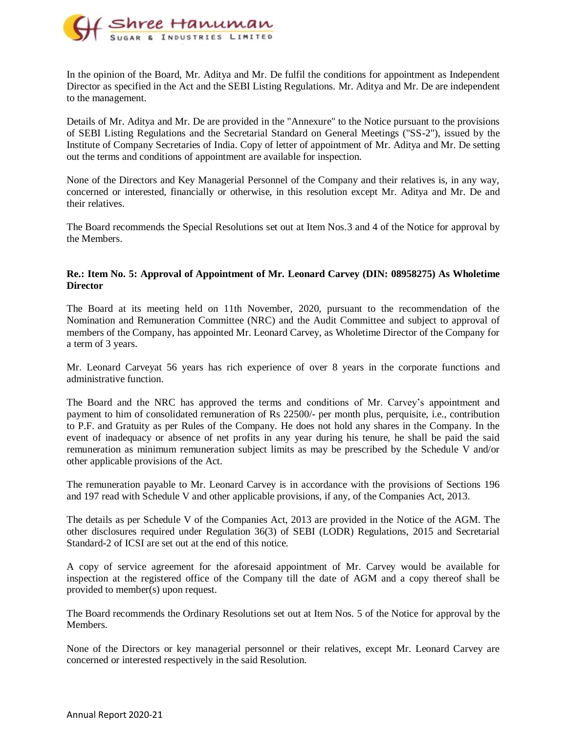

In the opinion of the Board, Mr. Aditya and Mr. De fulfil the conditions for appointment as Independent Director as specified in the Act and the SEBI Listing Regulations. Mr. Aditya and Mr. De are independent to the management.

Details of Mr. Aditya and Mr. De are provided in the "Annexure" to the Notice pursuant to the provisions of SEBI Listing Regulations and the Secretarial Standard on General Meetings ("SS-2"), issued by the Institute of Company Secretaries of India. Copy of letter of appointment of Mr. Aditya and Mr. De setting out the terms and conditions of appointment are available for inspection.

None of the Directors and Key Managerial Personnel of the Company and their relatives is, in any way, concerned or interested, financially or otherwise, in this resolution except Mr. Aditya and Mr. De and their relatives.

The Board recommends the Special Resolutions set out at Item Nos.3 and 4 of the Notice for approval by the Members.

#### **Re.: Item No. 5: Approval of Appointment of Mr. Leonard Carvey (DIN: 08958275) As Wholetime Director**

The Board at its meeting held on 11th November, 2020, pursuant to the recommendation of the Nomination and Remuneration Committee (NRC) and the Audit Committee and subject to approval of members of the Company, has appointed Mr. Leonard Carvey, as Wholetime Director of the Company for a term of 3 years.

Mr. Leonard Carveyat 56 years has rich experience of over 8 years in the corporate functions and administrative function.

The Board and the NRC has approved the terms and conditions of Mr. Carvey's appointment and payment to him of consolidated remuneration of Rs 22500/- per month plus, perquisite, i.e., contribution to P.F. and Gratuity as per Rules of the Company. He does not hold any shares in the Company. In the event of inadequacy or absence of net profits in any year during his tenure, he shall be paid the said remuneration as minimum remuneration subject limits as may be prescribed by the Schedule V and/or other applicable provisions of the Act.

The remuneration payable to Mr. Leonard Carvey is in accordance with the provisions of Sections 196 and 197 read with Schedule V and other applicable provisions, if any, of the Companies Act, 2013.

The details as per Schedule V of the Companies Act, 2013 are provided in the Notice of the AGM. The other disclosures required under Regulation 36(3) of SEBI (LODR) Regulations, 2015 and Secretarial Standard-2 of ICSI are set out at the end of this notice.

A copy of service agreement for the aforesaid appointment of Mr. Carvey would be available for inspection at the registered office of the Company till the date of AGM and a copy thereof shall be provided to member(s) upon request.

The Board recommends the Ordinary Resolutions set out at Item Nos. 5 of the Notice for approval by the Members.

None of the Directors or key managerial personnel or their relatives, except Mr. Leonard Carvey are concerned or interested respectively in the said Resolution.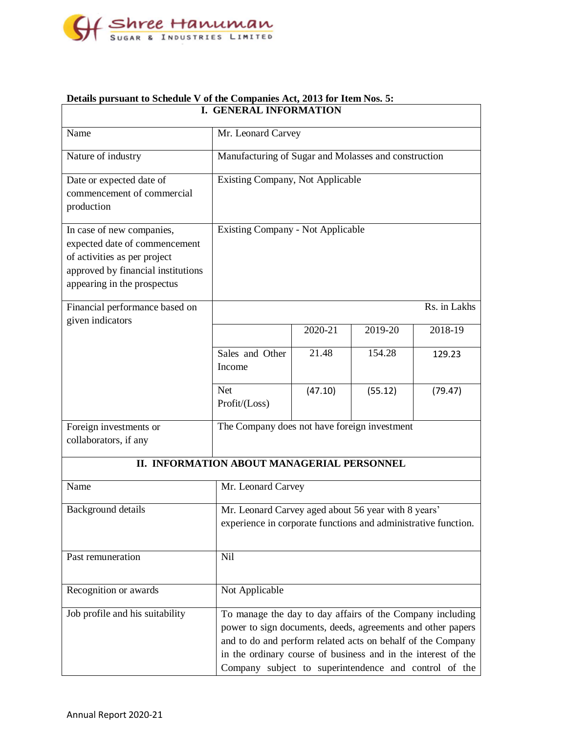

| <b>I. GENERAL INFORMATION</b>                                                                                                                                   |                                                                                                                                                                                                                                                                                                                   |         |         |              |
|-----------------------------------------------------------------------------------------------------------------------------------------------------------------|-------------------------------------------------------------------------------------------------------------------------------------------------------------------------------------------------------------------------------------------------------------------------------------------------------------------|---------|---------|--------------|
| Name                                                                                                                                                            | Mr. Leonard Carvey                                                                                                                                                                                                                                                                                                |         |         |              |
| Nature of industry                                                                                                                                              | Manufacturing of Sugar and Molasses and construction                                                                                                                                                                                                                                                              |         |         |              |
| Date or expected date of<br>commencement of commercial<br>production                                                                                            | Existing Company, Not Applicable                                                                                                                                                                                                                                                                                  |         |         |              |
| In case of new companies,<br>expected date of commencement<br>of activities as per project<br>approved by financial institutions<br>appearing in the prospectus | <b>Existing Company - Not Applicable</b>                                                                                                                                                                                                                                                                          |         |         |              |
| Financial performance based on<br>given indicators                                                                                                              |                                                                                                                                                                                                                                                                                                                   |         |         | Rs. in Lakhs |
|                                                                                                                                                                 |                                                                                                                                                                                                                                                                                                                   | 2020-21 | 2019-20 | 2018-19      |
|                                                                                                                                                                 | Sales and Other<br>Income                                                                                                                                                                                                                                                                                         | 21.48   | 154.28  | 129.23       |
|                                                                                                                                                                 | <b>Net</b><br>Profit/(Loss)                                                                                                                                                                                                                                                                                       | (47.10) | (55.12) | (79.47)      |
| Foreign investments or<br>collaborators, if any                                                                                                                 | The Company does not have foreign investment                                                                                                                                                                                                                                                                      |         |         |              |
|                                                                                                                                                                 | II. INFORMATION ABOUT MANAGERIAL PERSONNEL                                                                                                                                                                                                                                                                        |         |         |              |
| Name                                                                                                                                                            | Mr. Leonard Carvey                                                                                                                                                                                                                                                                                                |         |         |              |
| Background details                                                                                                                                              | Mr. Leonard Carvey aged about 56 year with 8 years'<br>experience in corporate functions and administrative function.                                                                                                                                                                                             |         |         |              |
| Past remuneration                                                                                                                                               | <b>Nil</b>                                                                                                                                                                                                                                                                                                        |         |         |              |
| Recognition or awards                                                                                                                                           | Not Applicable                                                                                                                                                                                                                                                                                                    |         |         |              |
| Job profile and his suitability                                                                                                                                 | To manage the day to day affairs of the Company including<br>power to sign documents, deeds, agreements and other papers<br>and to do and perform related acts on behalf of the Company<br>in the ordinary course of business and in the interest of the<br>Company subject to superintendence and control of the |         |         |              |

# **Details pursuant to Schedule V of the Companies Act, 2013 for Item Nos. 5:**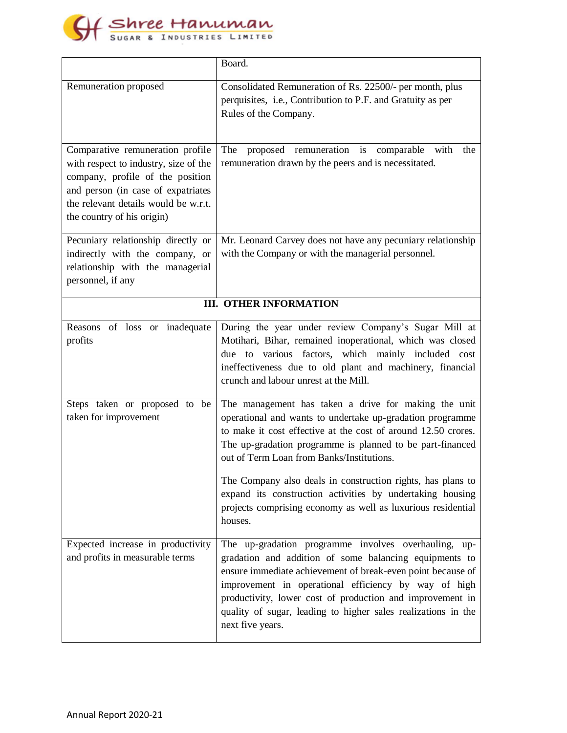

|                                                                                                                                                                                                                           | Board.                                                                                                                                                                                                                                                                                                                                                                                                                                                                                              |  |  |  |
|---------------------------------------------------------------------------------------------------------------------------------------------------------------------------------------------------------------------------|-----------------------------------------------------------------------------------------------------------------------------------------------------------------------------------------------------------------------------------------------------------------------------------------------------------------------------------------------------------------------------------------------------------------------------------------------------------------------------------------------------|--|--|--|
| Remuneration proposed                                                                                                                                                                                                     | Consolidated Remuneration of Rs. 22500/- per month, plus<br>perquisites, i.e., Contribution to P.F. and Gratuity as per<br>Rules of the Company.                                                                                                                                                                                                                                                                                                                                                    |  |  |  |
| Comparative remuneration profile<br>with respect to industry, size of the<br>company, profile of the position<br>and person (in case of expatriates<br>the relevant details would be w.r.t.<br>the country of his origin) | The<br>proposed remuneration is comparable with<br>the<br>remuneration drawn by the peers and is necessitated.                                                                                                                                                                                                                                                                                                                                                                                      |  |  |  |
| Pecuniary relationship directly or<br>indirectly with the company, or<br>relationship with the managerial<br>personnel, if any                                                                                            | Mr. Leonard Carvey does not have any pecuniary relationship<br>with the Company or with the managerial personnel.                                                                                                                                                                                                                                                                                                                                                                                   |  |  |  |
| <b>III. OTHER INFORMATION</b>                                                                                                                                                                                             |                                                                                                                                                                                                                                                                                                                                                                                                                                                                                                     |  |  |  |
| Reasons of loss or inadequate<br>profits                                                                                                                                                                                  | During the year under review Company's Sugar Mill at<br>Motihari, Bihar, remained inoperational, which was closed<br>due to various factors, which mainly included cost<br>ineffectiveness due to old plant and machinery, financial<br>crunch and labour unrest at the Mill.                                                                                                                                                                                                                       |  |  |  |
| Steps taken or proposed to be<br>taken for improvement                                                                                                                                                                    | The management has taken a drive for making the unit<br>operational and wants to undertake up-gradation programme<br>to make it cost effective at the cost of around 12.50 crores.<br>The up-gradation programme is planned to be part-financed<br>out of Term Loan from Banks/Institutions.<br>The Company also deals in construction rights, has plans to<br>expand its construction activities by undertaking housing<br>projects comprising economy as well as luxurious residential<br>houses. |  |  |  |
| Expected increase in productivity<br>and profits in measurable terms                                                                                                                                                      | The up-gradation programme involves overhauling, up-<br>gradation and addition of some balancing equipments to<br>ensure immediate achievement of break-even point because of<br>improvement in operational efficiency by way of high<br>productivity, lower cost of production and improvement in<br>quality of sugar, leading to higher sales realizations in the<br>next five years.                                                                                                             |  |  |  |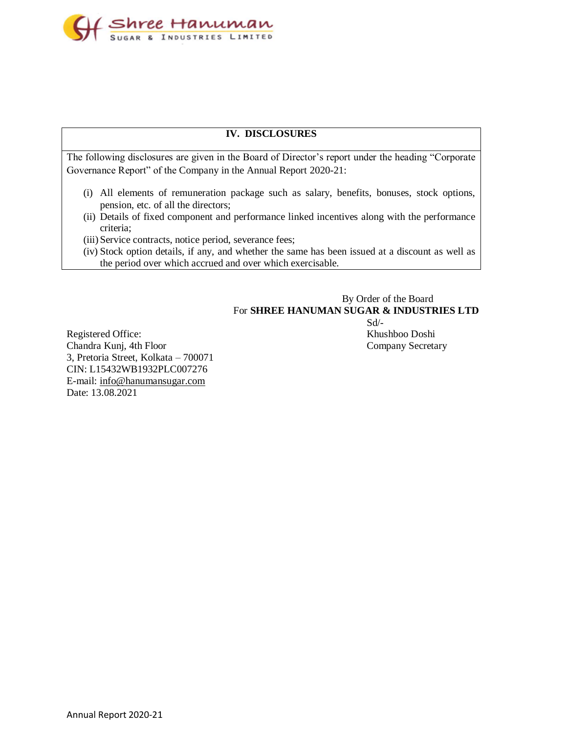

#### **IV. DISCLOSURES**

The following disclosures are given in the Board of Director's report under the heading "Corporate Governance Report" of the Company in the Annual Report 2020-21:

- (i) All elements of remuneration package such as salary, benefits, bonuses, stock options, pension, etc. of all the directors;
- (ii) Details of fixed component and performance linked incentives along with the performance criteria;
- (iii) Service contracts, notice period, severance fees;
- (iv) Stock option details, if any, and whether the same has been issued at a discount as well as the period over which accrued and over which exercisable.

## By Order of the Board For **SHREE HANUMAN SUGAR & INDUSTRIES LTD**

 $Sd$ <sup>-</sup>

Registered Office: Khushboo Doshi Chandra Kunj, 4th Floor Company Secretary 3, Pretoria Street, Kolkata – 700071 CIN: L15432WB1932PLC007276 E-mail: [info@hanumansugar.com](mailto:info@hanumansugar.com) Date: 13.08.2021